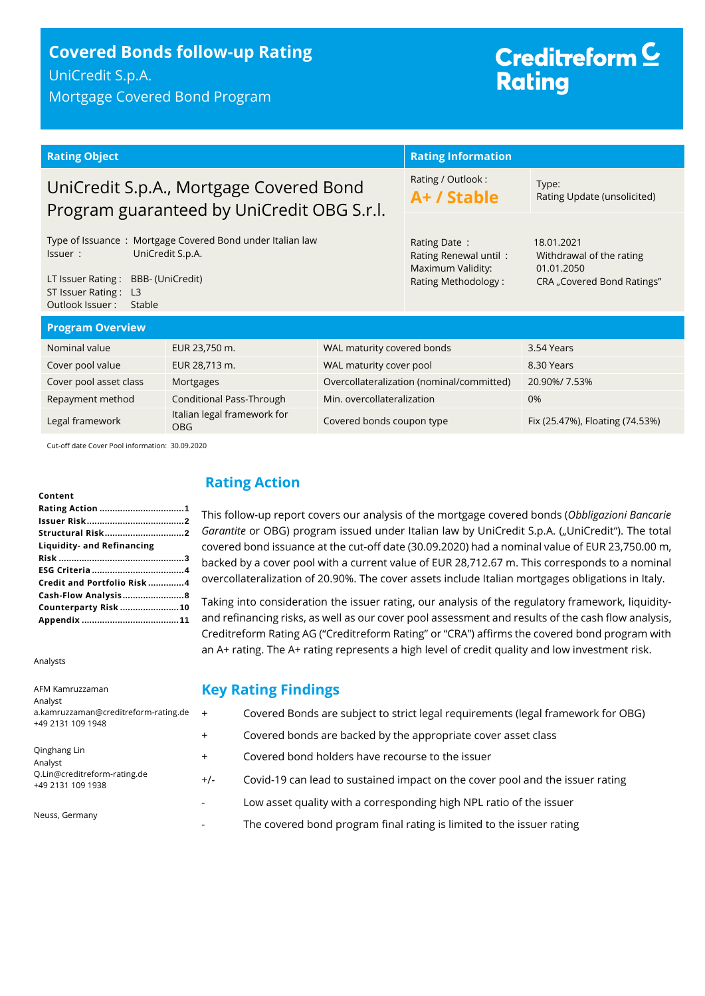## **Covered Bonds follow-up Rating** UniCredit S.p.A.

Mortgage Covered Bond Program

# Creditreform<sup>C</sup> **Rating**

| <b>Rating Object</b>                                                                                                                                                                |                                           | <b>Rating Information</b>                                                         |                                                                                    |                                 |
|-------------------------------------------------------------------------------------------------------------------------------------------------------------------------------------|-------------------------------------------|-----------------------------------------------------------------------------------|------------------------------------------------------------------------------------|---------------------------------|
| UniCredit S.p.A., Mortgage Covered Bond<br>Program guaranteed by UniCredit OBG S.r.l.                                                                                               |                                           | Rating / Outlook:<br>A+ / Stable                                                  | Type:<br>Rating Update (unsolicited)                                               |                                 |
| Type of Issuance: Mortgage Covered Bond under Italian law<br>UniCredit S.p.A.<br>Issuer:<br>LT Issuer Rating: BBB- (UniCredit)<br>ST Issuer Rating: L3<br>Outlook Issuer:<br>Stable |                                           | Rating Date:<br>Rating Renewal until:<br>Maximum Validity:<br>Rating Methodology: | 18.01.2021<br>Withdrawal of the rating<br>01.01.2050<br>CRA "Covered Bond Ratings" |                                 |
| <b>Program Overview</b>                                                                                                                                                             |                                           |                                                                                   |                                                                                    |                                 |
| Nominal value                                                                                                                                                                       | EUR 23,750 m.                             | WAL maturity covered bonds                                                        |                                                                                    | 3.54 Years                      |
| Cover pool value                                                                                                                                                                    | EUR 28,713 m.                             | WAL maturity cover pool                                                           |                                                                                    | 8.30 Years                      |
| Cover pool asset class                                                                                                                                                              | Mortgages                                 |                                                                                   | Overcollateralization (nominal/committed)                                          | 20.90%/7.53%                    |
| Repayment method                                                                                                                                                                    | Conditional Pass-Through                  | Min. overcollateralization                                                        |                                                                                    | 0%                              |
| Legal framework                                                                                                                                                                     | Italian legal framework for<br><b>OBG</b> | Covered bonds coupon type                                                         |                                                                                    | Fix (25.47%), Floating (74.53%) |

This follow-up report covers our analysis of the mortgage covered bonds (*Obbligazioni Bancarie*  Garantite or OBG) program issued under Italian law by UniCredit S.p.A. ("UniCredit"). The total covered bond issuance at the cut-off date (30.09.2020) had a nominal value of EUR 23,750.00 m, backed by a cover pool with a current value of EUR 28,712.67 m. This corresponds to a nominal overcollateralization of 20.90%. The cover assets include Italian mortgages obligations in Italy. Taking into consideration the issuer rating, our analysis of the regulatory framework, liquidityand refinancing risks, as well as our cover pool assessment and results of the cash flow analysis, Creditreform Rating AG ("Creditreform Rating" or "CRA") affirms the covered bond program with an A+ rating. The A+ rating represents a high level of credit quality and low investment risk.

Cut-off date Cover Pool information: 30.09.2020

**Content**

| Content                    |
|----------------------------|
|                            |
|                            |
| Structural Risk2           |
| Liquidity- and Refinancing |
|                            |
|                            |
| Credit and Portfolio Risk4 |
| Cash-Flow Analysis8        |
| Counterparty Risk 10       |
|                            |

Analysts

#### **Key Rating Findings** + Covered Bonds are subject to strict legal requirements (legal framework for OBG) + Covered bonds are backed by the appropriate cover asset class + Covered bond holders have recourse to the issuer +/- Covid-19 can lead to sustained impact on the cover pool and the issuer rating - Low asset quality with a corresponding high NPL ratio of the issuer The covered bond program final rating is limited to the issuer rating AFM Kamruzzaman Analyst a.kamruzzaman@creditreform-rating.de +49 2131 109 1948 Qinghang Lin Analyst Q.Lin@creditreform-rating.de +49 2131 109 1938 Neuss, Germany

<span id="page-0-0"></span>**Rating Action**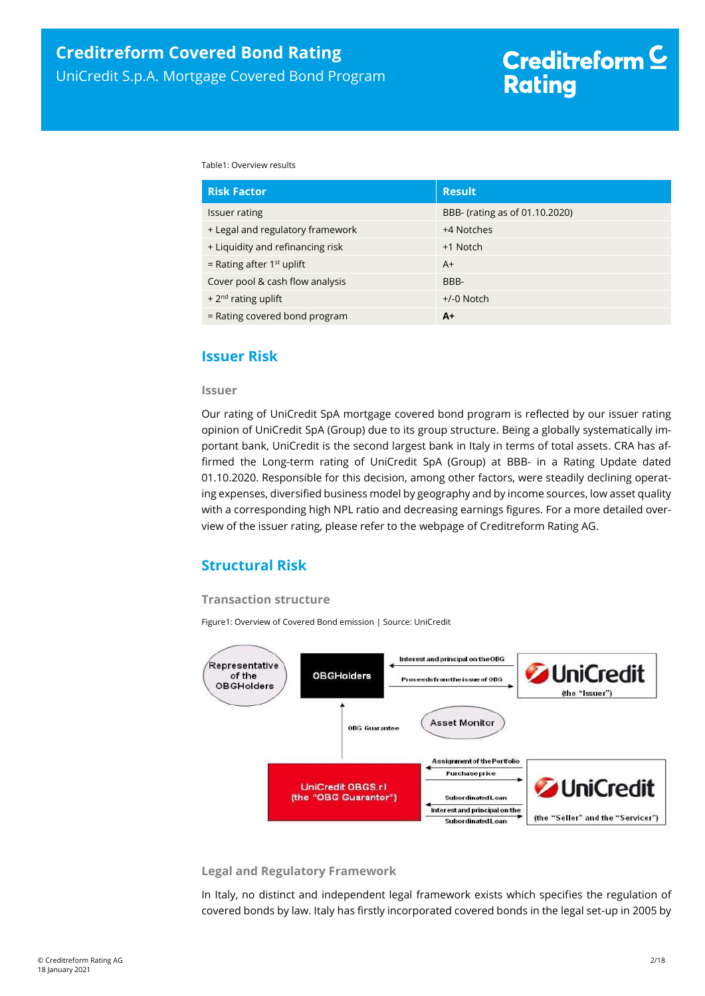Table1: Overview results

| <b>Risk Factor</b>               | <b>Result</b>                  |
|----------------------------------|--------------------------------|
| Issuer rating                    | BBB- (rating as of 01.10.2020) |
| + Legal and regulatory framework | +4 Notches                     |
| + Liquidity and refinancing risk | +1 Notch                       |
| = Rating after $1st$ uplift      | $A+$                           |
| Cover pool & cash flow analysis  | BBB-                           |
| + $2^{nd}$ rating uplift         | $+/-0$ Notch                   |
| = Rating covered bond program    | $A+$                           |

## <span id="page-1-0"></span>**Issuer Risk**

#### **Issuer**

Our rating of UniCredit SpA mortgage covered bond program is reflected by our issuer rating opinion of UniCredit SpA (Group) due to its group structure. Being a globally systematically important bank, UniCredit is the second largest bank in Italy in terms of total assets. CRA has affirmed the Long-term rating of UniCredit SpA (Group) at BBB- in a Rating Update dated 01.10.2020. Responsible for this decision, among other factors, were steadily declining operating expenses, diversified business model by geography and by income sources, low asset quality with a corresponding high NPL ratio and decreasing earnings figures. For a more detailed overview of the issuer rating, please refer to the webpage of Creditreform Rating AG.

## <span id="page-1-1"></span>**Structural Risk**

## **Transaction structure**

Figure1: Overview of Covered Bond emission | Source: UniCredit



#### **Legal and Regulatory Framework**

In Italy, no distinct and independent legal framework exists which specifies the regulation of covered bonds by law. Italy has firstly incorporated covered bonds in the legal set-up in 2005 by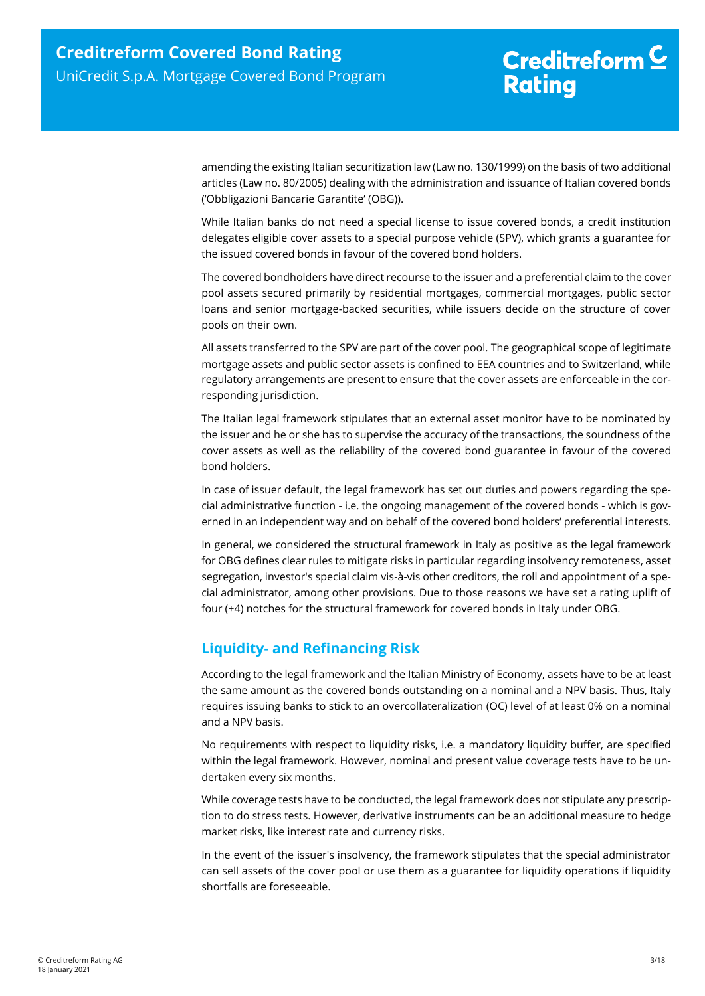amending the existing Italian securitization law (Law no. 130/1999) on the basis of two additional articles (Law no. 80/2005) dealing with the administration and issuance of Italian covered bonds ('Obbligazioni Bancarie Garantite' (OBG)).

While Italian banks do not need a special license to issue covered bonds, a credit institution delegates eligible cover assets to a special purpose vehicle (SPV), which grants a guarantee for the issued covered bonds in favour of the covered bond holders.

The covered bondholders have direct recourse to the issuer and a preferential claim to the cover pool assets secured primarily by residential mortgages, commercial mortgages, public sector loans and senior mortgage-backed securities, while issuers decide on the structure of cover pools on their own.

All assets transferred to the SPV are part of the cover pool. The geographical scope of legitimate mortgage assets and public sector assets is confined to EEA countries and to Switzerland, while regulatory arrangements are present to ensure that the cover assets are enforceable in the corresponding jurisdiction.

The Italian legal framework stipulates that an external asset monitor have to be nominated by the issuer and he or she has to supervise the accuracy of the transactions, the soundness of the cover assets as well as the reliability of the covered bond guarantee in favour of the covered bond holders.

In case of issuer default, the legal framework has set out duties and powers regarding the special administrative function - i.e. the ongoing management of the covered bonds - which is governed in an independent way and on behalf of the covered bond holders' preferential interests.

In general, we considered the structural framework in Italy as positive as the legal framework for OBG defines clear rules to mitigate risks in particular regarding insolvency remoteness, asset segregation, investor's special claim vis-à-vis other creditors, the roll and appointment of a special administrator, among other provisions. Due to those reasons we have set a rating uplift of four (+4) notches for the structural framework for covered bonds in Italy under OBG.

## <span id="page-2-0"></span>**Liquidity- and Refinancing Risk**

According to the legal framework and the Italian Ministry of Economy, assets have to be at least the same amount as the covered bonds outstanding on a nominal and a NPV basis. Thus, Italy requires issuing banks to stick to an overcollateralization (OC) level of at least 0% on a nominal and a NPV basis.

No requirements with respect to liquidity risks, i.e. a mandatory liquidity buffer, are specified within the legal framework. However, nominal and present value coverage tests have to be undertaken every six months.

While coverage tests have to be conducted, the legal framework does not stipulate any prescription to do stress tests. However, derivative instruments can be an additional measure to hedge market risks, like interest rate and currency risks.

In the event of the issuer's insolvency, the framework stipulates that the special administrator can sell assets of the cover pool or use them as a guarantee for liquidity operations if liquidity shortfalls are foreseeable.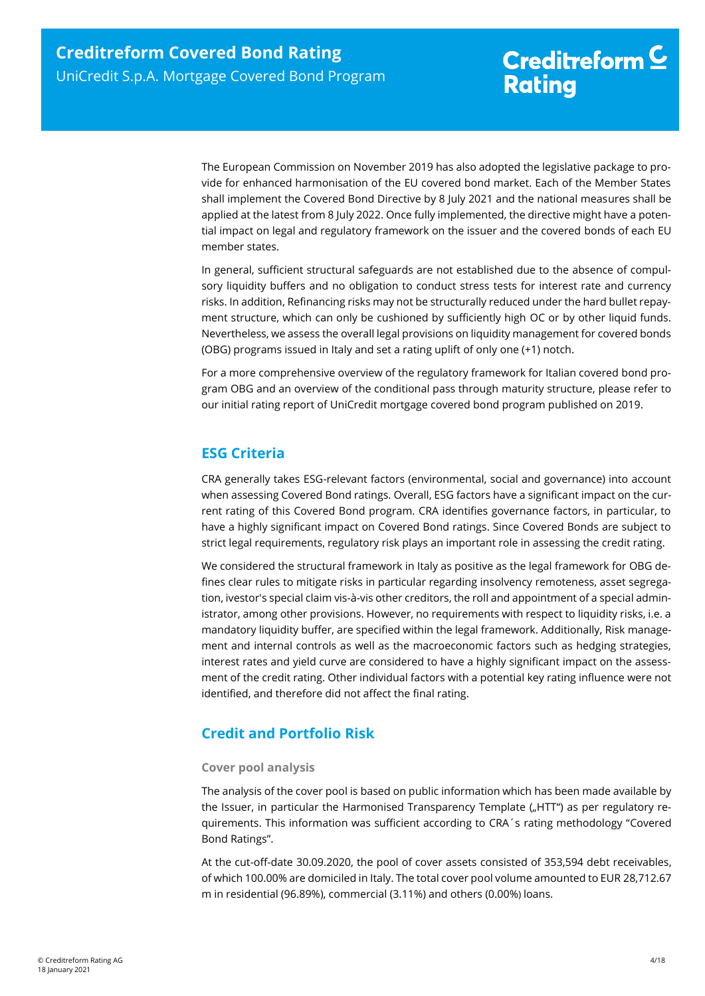The European Commission on November 2019 has also adopted the legislative package to provide for enhanced harmonisation of the EU covered bond market. Each of the Member States shall implement the Covered Bond Directive by 8 July 2021 and the national measures shall be applied at the latest from 8 July 2022. Once fully implemented, the directive might have a potential impact on legal and regulatory framework on the issuer and the covered bonds of each EU member states.

In general, sufficient structural safeguards are not established due to the absence of compulsory liquidity buffers and no obligation to conduct stress tests for interest rate and currency risks. In addition, Refinancing risks may not be structurally reduced under the hard bullet repayment structure, which can only be cushioned by sufficiently high OC or by other liquid funds. Nevertheless, we assess the overall legal provisions on liquidity management for covered bonds (OBG) programs issued in Italy and set a rating uplift of only one (+1) notch.

For a more comprehensive overview of the regulatory framework for Italian covered bond program OBG and an overview of the conditional pass through maturity structure, please refer to our initial rating report of UniCredit mortgage covered bond program published on 2019.

## <span id="page-3-0"></span>**ESG Criteria**

CRA generally takes ESG-relevant factors (environmental, social and governance) into account when assessing Covered Bond ratings. Overall, ESG factors have a significant impact on the current rating of this Covered Bond program. CRA identifies governance factors, in particular, to have a highly significant impact on Covered Bond ratings. Since Covered Bonds are subject to strict legal requirements, regulatory risk plays an important role in assessing the credit rating.

We considered the structural framework in Italy as positive as the legal framework for OBG defines clear rules to mitigate risks in particular regarding insolvency remoteness, asset segregation, ivestor's special claim vis-à-vis other creditors, the roll and appointment of a special administrator, among other provisions. However, no requirements with respect to liquidity risks, i.e. a mandatory liquidity buffer, are specified within the legal framework. Additionally, Risk management and internal controls as well as the macroeconomic factors such as hedging strategies, interest rates and yield curve are considered to have a highly significant impact on the assessment of the credit rating. Other individual factors with a potential key rating influence were not identified, and therefore did not affect the final rating.

## <span id="page-3-1"></span>**Credit and Portfolio Risk**

## **Cover pool analysis**

The analysis of the cover pool is based on public information which has been made available by the Issuer, in particular the Harmonised Transparency Template ("HTT") as per regulatory requirements. This information was sufficient according to CRA´s rating methodology "Covered Bond Ratings".

At the cut-off-date 30.09.2020, the pool of cover assets consisted of 353,594 debt receivables, of which 100.00% are domiciled in Italy. The total cover pool volume amounted to EUR 28,712.67 m in residential (96.89%), commercial (3.11%) and others (0.00%) loans.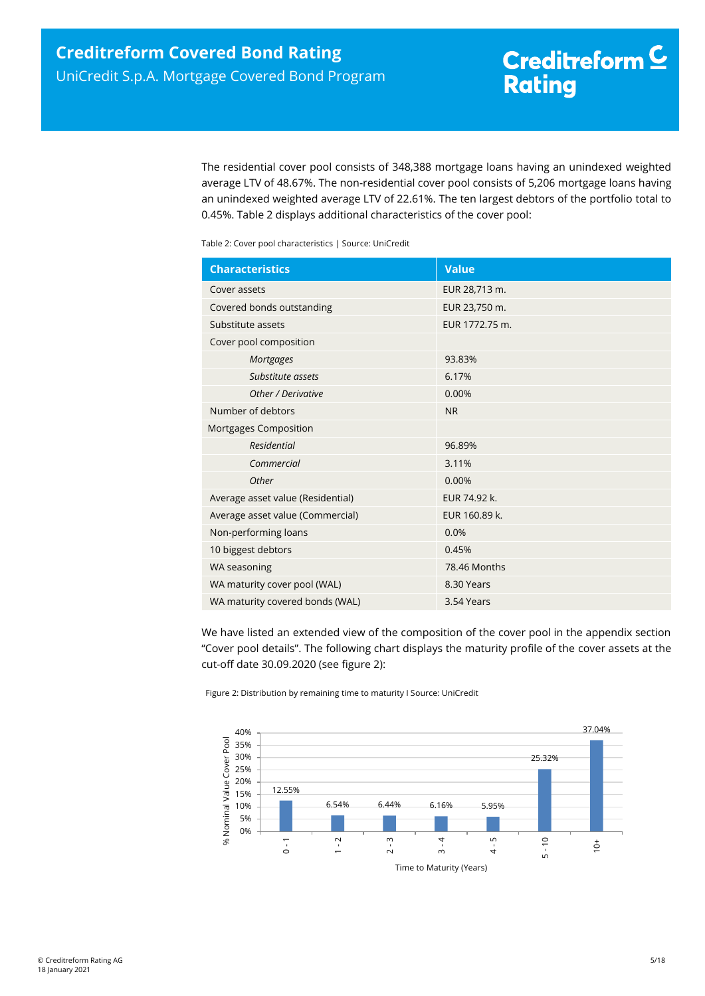The residential cover pool consists of 348,388 mortgage loans having an unindexed weighted average LTV of 48.67%. The non-residential cover pool consists of 5,206 mortgage loans having an unindexed weighted average LTV of 22.61%. The ten largest debtors of the portfolio total to 0.45%. [Table 2](#page-4-0) displays additional characteristics of the cover pool:

<span id="page-4-0"></span>Table 2: Cover pool characteristics | Source: UniCredit

| <b>Characteristics</b>            | <b>Value</b>   |
|-----------------------------------|----------------|
| Cover assets                      | EUR 28,713 m.  |
| Covered bonds outstanding         | EUR 23,750 m.  |
| Substitute assets                 | EUR 1772.75 m. |
| Cover pool composition            |                |
| <b>Mortgages</b>                  | 93.83%         |
| Substitute assets                 | 6.17%          |
| Other / Derivative                | 0.00%          |
| Number of debtors                 | <b>NR</b>      |
| Mortgages Composition             |                |
| <b>Residential</b>                | 96.89%         |
| Commercial                        | 3.11%          |
| Other                             | 0.00%          |
| Average asset value (Residential) | EUR 74.92 k.   |
| Average asset value (Commercial)  | EUR 160.89 k.  |
| Non-performing loans              | 0.0%           |
| 10 biggest debtors                | 0.45%          |
| WA seasoning                      | 78.46 Months   |
| WA maturity cover pool (WAL)      | 8.30 Years     |
| WA maturity covered bonds (WAL)   | 3.54 Years     |

We have listed an extended view of the composition of the cover pool in the appendix section "Cover pool details". The following chart displays the maturity profile of the cover assets at the cut-off date 30.09.2020 (see [figure 2\)](#page-4-1):

<span id="page-4-1"></span>Figure 2: Distribution by remaining time to maturity I Source: UniCredit

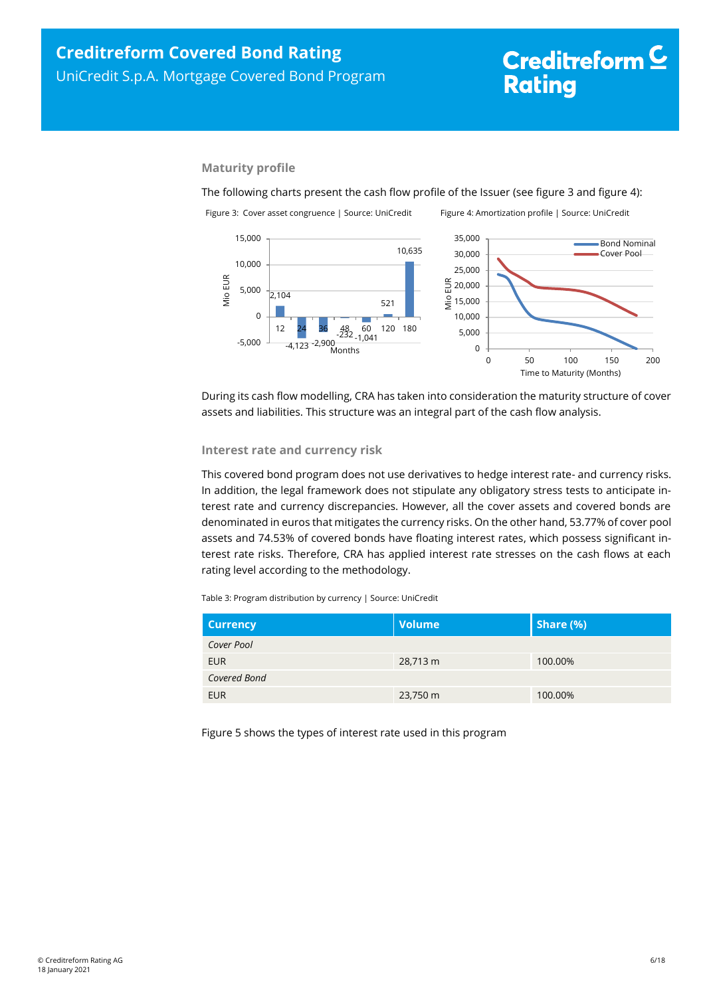# <span id="page-5-1"></span>Creditreform<sup>C</sup> **Rating**

## **Maturity profile**

The following charts present the cash flow profile of the Issuer (see [figure 3](#page-5-0) an[d figure 4\)](#page-5-1): Figure 3: Cover asset congruence | Source: UniCredit Figure 4: Amortization profile | Source: UniCredit

<span id="page-5-0"></span>

During its cash flow modelling, CRA has taken into consideration the maturity structure of cover assets and liabilities. This structure was an integral part of the cash flow analysis.

### **Interest rate and currency risk**

This covered bond program does not use derivatives to hedge interest rate- and currency risks. In addition, the legal framework does not stipulate any obligatory stress tests to anticipate interest rate and currency discrepancies. However, all the cover assets and covered bonds are denominated in euros that mitigates the currency risks. On the other hand, 53.77% of cover pool assets and 74.53% of covered bonds have floating interest rates, which possess significant interest rate risks. Therefore, CRA has applied interest rate stresses on the cash flows at each rating level according to the methodology.

Table 3: Program distribution by currency | Source: UniCredit

| <b>Currency</b> | <b>Volume</b> | Share (%) |
|-----------------|---------------|-----------|
| Cover Pool      |               |           |
| <b>EUR</b>      | 28,713 m      | 100.00%   |
| Covered Bond    |               |           |
| <b>EUR</b>      | 23,750 m      | 100.00%   |

Figure 5 shows the types of interest rate used in this program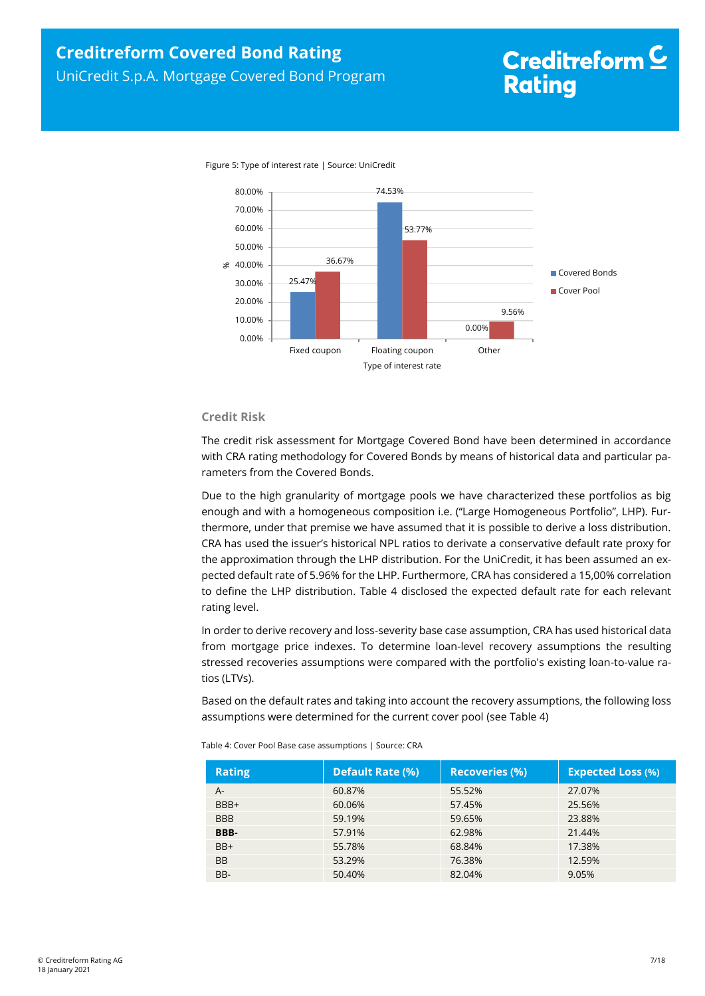

Figure 5: Type of interest rate | Source: UniCredit

## **Credit Risk**

The credit risk assessment for Mortgage Covered Bond have been determined in accordance with CRA rating methodology for Covered Bonds by means of historical data and particular parameters from the Covered Bonds.

Due to the high granularity of mortgage pools we have characterized these portfolios as big enough and with a homogeneous composition i.e. ("Large Homogeneous Portfolio", LHP). Furthermore, under that premise we have assumed that it is possible to derive a loss distribution. CRA has used the issuer's historical NPL ratios to derivate a conservative default rate proxy for the approximation through the LHP distribution. For the UniCredit, it has been assumed an expected default rate of 5.96% for the LHP. Furthermore, CRA has considered a 15,00% correlation to define the LHP distribution. [Table 4](#page-6-0) disclosed the expected default rate for each relevant rating level.

In order to derive recovery and loss-severity base case assumption, CRA has used historical data from mortgage price indexes. To determine loan-level recovery assumptions the resulting stressed recoveries assumptions were compared with the portfolio's existing loan-to-value ratios (LTVs).

Based on the default rates and taking into account the recovery assumptions, the following loss assumptions were determined for the current cover pool (se[e Table 4\)](#page-6-0)

| <b>Rating</b> | <b>Default Rate (%)</b> | <b>Recoveries (%)</b> | <b>Expected Loss (%)</b> |
|---------------|-------------------------|-----------------------|--------------------------|
| A-            | 60.87%                  | 55.52%                | 27.07%                   |
| BBB+          | 60.06%                  | 57.45%                | 25.56%                   |
| <b>BBB</b>    | 59.19%                  | 59.65%                | 23.88%                   |
| BBB-          | 57.91%                  | 62.98%                | 21.44%                   |
| BB+           | 55.78%                  | 68.84%                | 17.38%                   |
| <b>BB</b>     | 53.29%                  | 76.38%                | 12.59%                   |
| BB-           | 50.40%                  | 82.04%                | 9.05%                    |

<span id="page-6-0"></span>Table 4: Cover Pool Base case assumptions | Source: CRA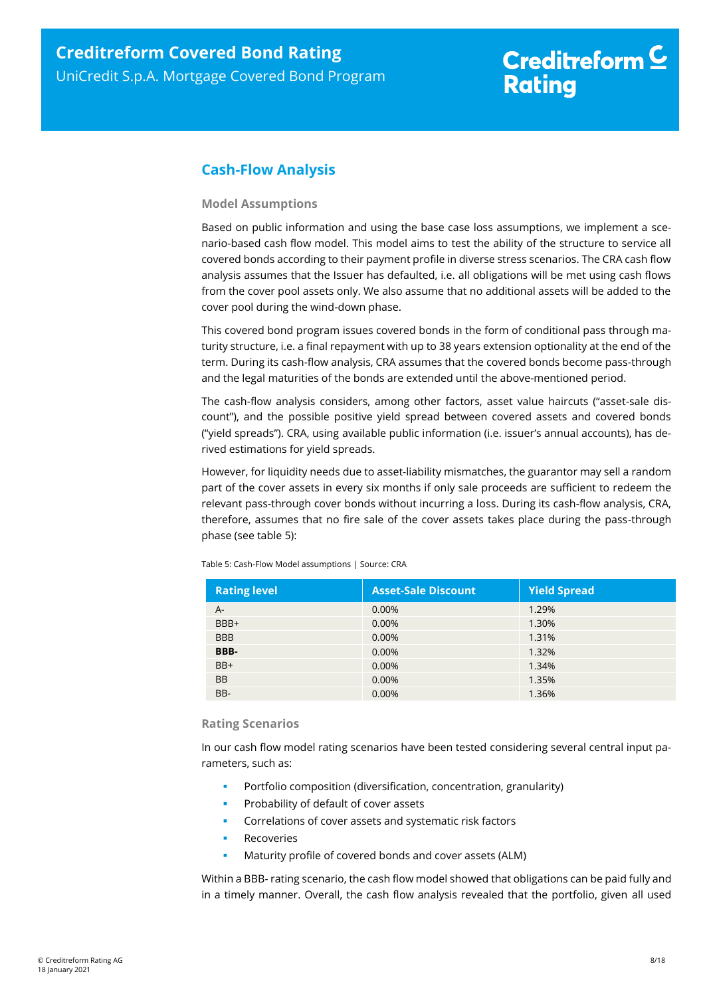## <span id="page-7-0"></span>**Cash-Flow Analysis**

## **Model Assumptions**

Based on public information and using the base case loss assumptions, we implement a scenario-based cash flow model. This model aims to test the ability of the structure to service all covered bonds according to their payment profile in diverse stress scenarios. The CRA cash flow analysis assumes that the Issuer has defaulted, i.e. all obligations will be met using cash flows from the cover pool assets only. We also assume that no additional assets will be added to the cover pool during the wind-down phase.

This covered bond program issues covered bonds in the form of conditional pass through maturity structure, i.e. a final repayment with up to 38 years extension optionality at the end of the term. During its cash-flow analysis, CRA assumes that the covered bonds become pass-through and the legal maturities of the bonds are extended until the above-mentioned period.

The cash-flow analysis considers, among other factors, asset value haircuts ("asset-sale discount"), and the possible positive yield spread between covered assets and covered bonds ("yield spreads"). CRA, using available public information (i.e. issuer's annual accounts), has derived estimations for yield spreads.

However, for liquidity needs due to asset-liability mismatches, the guarantor may sell a random part of the cover assets in every six months if only sale proceeds are sufficient to redeem the relevant pass-through cover bonds without incurring a loss. During its cash-flow analysis, CRA, therefore, assumes that no fire sale of the cover assets takes place during the pass-through phase (see [table 5\)](#page-7-1):

| <b>Rating level</b> | <b>Asset-Sale Discount</b> | <b>Yield Spread</b> |
|---------------------|----------------------------|---------------------|
| $A -$               | 0.00%                      | 1.29%               |
| BBB+                | 0.00%                      | 1.30%               |
| <b>BBB</b>          | 0.00%                      | 1.31%               |
| BBB-                | 0.00%                      | 1.32%               |
| BB+                 | 0.00%                      | 1.34%               |
| <b>BB</b>           | 0.00%                      | 1.35%               |
| BB-                 | 0.00%                      | 1.36%               |

<span id="page-7-1"></span>Table 5: Cash-Flow Model assumptions | Source: CRA

## **Rating Scenarios**

In our cash flow model rating scenarios have been tested considering several central input parameters, such as:

- Portfolio composition (diversification, concentration, granularity)
- Probability of default of cover assets
- Correlations of cover assets and systematic risk factors
- Recoveries
- Maturity profile of covered bonds and cover assets (ALM)

Within a BBB- rating scenario, the cash flow model showed that obligations can be paid fully and in a timely manner. Overall, the cash flow analysis revealed that the portfolio, given all used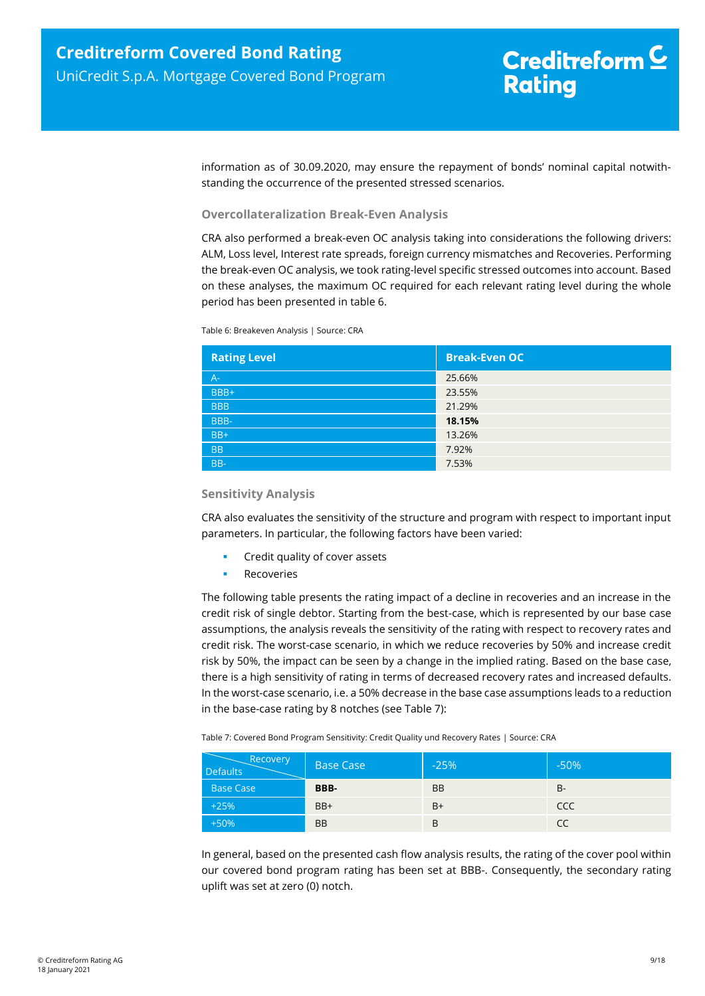information as of 30.09.2020, may ensure the repayment of bonds' nominal capital notwithstanding the occurrence of the presented stressed scenarios.

## **Overcollateralization Break-Even Analysis**

CRA also performed a break-even OC analysis taking into considerations the following drivers: ALM, Loss level, Interest rate spreads, foreign currency mismatches and Recoveries. Performing the break-even OC analysis, we took rating-level specific stressed outcomes into account. Based on these analyses, the maximum OC required for each relevant rating level during the whole period has been presented in [table 6.](#page-8-0)

<span id="page-8-0"></span>Table 6: Breakeven Analysis | Source: CRA

| <b>Rating Level</b> | <b>Break-Even OC</b> |
|---------------------|----------------------|
| $A -$               | 25.66%               |
| BBB+                | 23.55%               |
| <b>BBB</b>          | 21.29%               |
| BBB-                | 18.15%               |
| $BB+$               | 13.26%               |
| <b>BB</b>           | 7.92%                |
| BB-                 | 7.53%                |

### **Sensitivity Analysis**

CRA also evaluates the sensitivity of the structure and program with respect to important input parameters. In particular, the following factors have been varied:

- Credit quality of cover assets
- Recoveries

The following table presents the rating impact of a decline in recoveries and an increase in the credit risk of single debtor. Starting from the best-case, which is represented by our base case assumptions, the analysis reveals the sensitivity of the rating with respect to recovery rates and credit risk. The worst-case scenario, in which we reduce recoveries by 50% and increase credit risk by 50%, the impact can be seen by a change in the implied rating. Based on the base case, there is a high sensitivity of rating in terms of decreased recovery rates and increased defaults. In the worst-case scenario, i.e. a 50% decrease in the base case assumptions leads to a reduction in the base-case rating by 8 notches (see [Table 7\)](#page-8-1):

<span id="page-8-1"></span>Table 7: Covered Bond Program Sensitivity: Credit Quality und Recovery Rates | Source: CRA

| Recovery<br><b>Defaults</b> | <b>Base Case</b> | $-25%$    | $-50%$     |
|-----------------------------|------------------|-----------|------------|
| <b>Base Case</b>            | BBB-             | <b>BB</b> | B-         |
| $+25%$                      | BB+              | $B+$      | <b>CCC</b> |
| $+50%$                      | <b>BB</b>        | B         | CC         |

In general, based on the presented cash flow analysis results, the rating of the cover pool within our covered bond program rating has been set at BBB-. Consequently, the secondary rating uplift was set at zero (0) notch.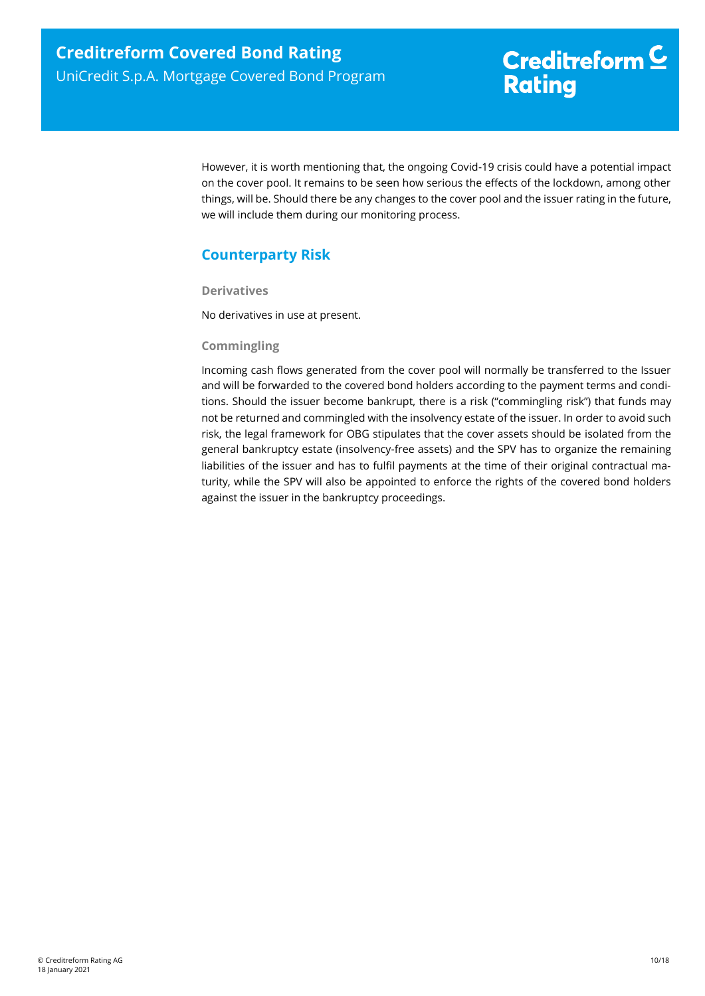However, it is worth mentioning that, the ongoing Covid-19 crisis could have a potential impact on the cover pool. It remains to be seen how serious the effects of the lockdown, among other things, will be. Should there be any changes to the cover pool and the issuer rating in the future, we will include them during our monitoring process.

## <span id="page-9-0"></span>**Counterparty Risk**

**Derivatives**

No derivatives in use at present.

## **Commingling**

Incoming cash flows generated from the cover pool will normally be transferred to the Issuer and will be forwarded to the covered bond holders according to the payment terms and conditions. Should the issuer become bankrupt, there is a risk ("commingling risk") that funds may not be returned and commingled with the insolvency estate of the issuer. In order to avoid such risk, the legal framework for OBG stipulates that the cover assets should be isolated from the general bankruptcy estate (insolvency-free assets) and the SPV has to organize the remaining liabilities of the issuer and has to fulfil payments at the time of their original contractual maturity, while the SPV will also be appointed to enforce the rights of the covered bond holders against the issuer in the bankruptcy proceedings.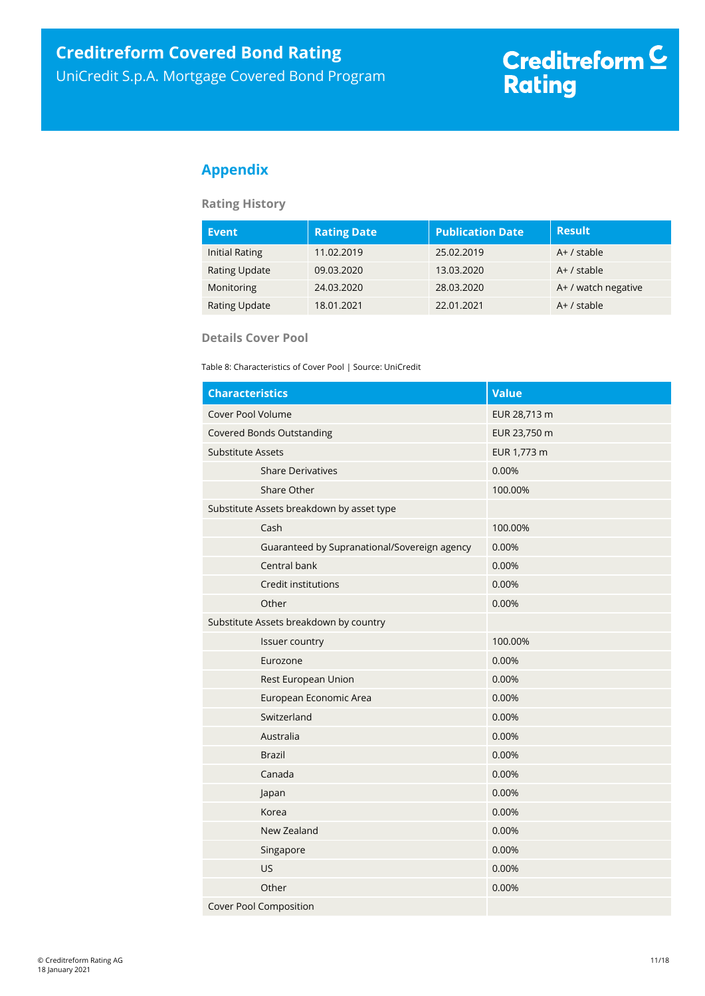## <span id="page-10-0"></span>**Appendix**

## **Rating History**

| <b>Event</b>          | <b>Rating Date</b> | <b>Publication Date</b> | <b>Result</b>       |
|-----------------------|--------------------|-------------------------|---------------------|
| <b>Initial Rating</b> | 11.02.2019         | 25.02.2019              | $A+$ / stable       |
| <b>Rating Update</b>  | 09.03.2020         | 13.03.2020              | $A+$ / stable       |
| Monitoring            | 24.03.2020         | 28.03.2020              | A+ / watch negative |
| <b>Rating Update</b>  | 18.01.2021         | 22.01.2021              | $A+$ / stable       |

## **Details Cover Pool**

Table 8: Characteristics of Cover Pool | Source: UniCredit

| <b>Characteristics</b>                       | <b>Value</b> |
|----------------------------------------------|--------------|
| Cover Pool Volume                            | EUR 28,713 m |
| <b>Covered Bonds Outstanding</b>             | EUR 23,750 m |
| <b>Substitute Assets</b>                     | EUR 1,773 m  |
| <b>Share Derivatives</b>                     | 0.00%        |
| Share Other                                  | 100.00%      |
| Substitute Assets breakdown by asset type    |              |
| Cash                                         | 100.00%      |
| Guaranteed by Supranational/Sovereign agency | 0.00%        |
| Central bank                                 | 0.00%        |
| Credit institutions                          | 0.00%        |
| Other                                        | 0.00%        |
| Substitute Assets breakdown by country       |              |
| Issuer country                               | 100.00%      |
| Eurozone                                     | 0.00%        |
| Rest European Union                          | 0.00%        |
| European Economic Area                       | 0.00%        |
| Switzerland                                  | 0.00%        |
| Australia                                    | 0.00%        |
| <b>Brazil</b>                                | 0.00%        |
| Canada                                       | 0.00%        |
| Japan                                        | 0.00%        |
| Korea                                        | 0.00%        |
| New Zealand                                  | 0.00%        |
| Singapore                                    | 0.00%        |
| US                                           | 0.00%        |
| Other                                        | 0.00%        |
| <b>Cover Pool Composition</b>                |              |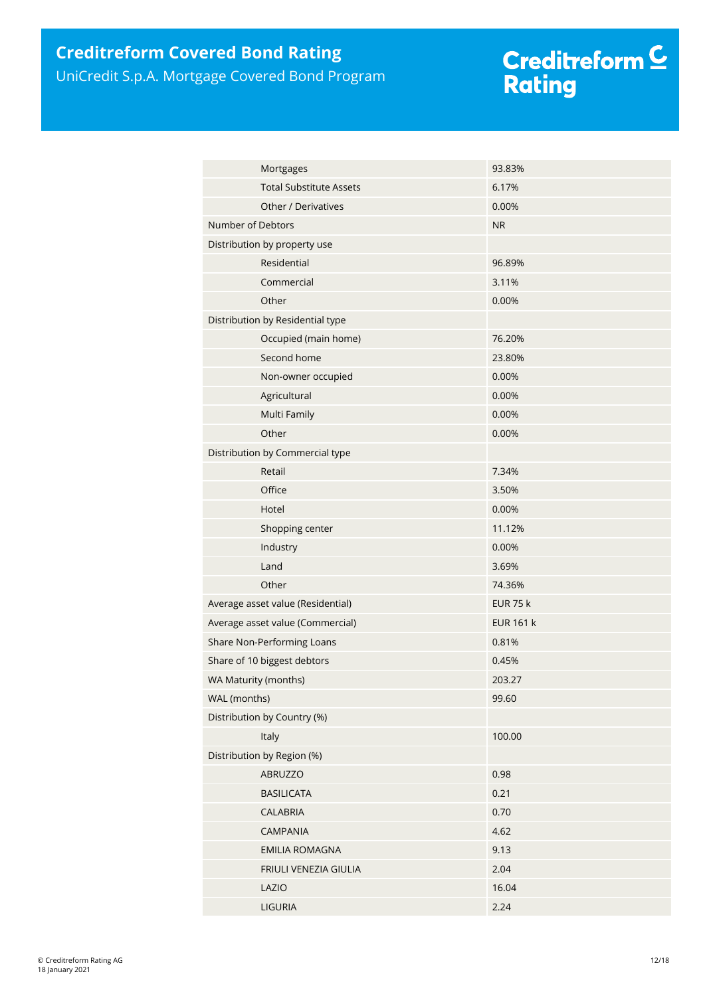## **Creditreform Covered Bond Rating**

UniCredit S.p.A. Mortgage Covered Bond Program

# Creditreform <mark>C</mark><br>Rating

| Mortgages                         | 93.83%           |
|-----------------------------------|------------------|
| <b>Total Substitute Assets</b>    | 6.17%            |
| Other / Derivatives               | 0.00%            |
| Number of Debtors                 | <b>NR</b>        |
| Distribution by property use      |                  |
| Residential                       | 96.89%           |
| Commercial                        | 3.11%            |
| Other                             | 0.00%            |
| Distribution by Residential type  |                  |
| Occupied (main home)              | 76.20%           |
| Second home                       | 23.80%           |
| Non-owner occupied                | 0.00%            |
| Agricultural                      | 0.00%            |
| Multi Family                      | 0.00%            |
| Other                             | 0.00%            |
| Distribution by Commercial type   |                  |
| Retail                            | 7.34%            |
| Office                            | 3.50%            |
| Hotel                             | 0.00%            |
| Shopping center                   | 11.12%           |
| Industry                          | 0.00%            |
| Land                              | 3.69%            |
| Other                             | 74.36%           |
| Average asset value (Residential) | <b>EUR 75 k</b>  |
| Average asset value (Commercial)  | <b>EUR 161 k</b> |
| Share Non-Performing Loans        | 0.81%            |
| Share of 10 biggest debtors       | 0.45%            |
| WA Maturity (months)              | 203.27           |
| WAL (months)                      | 99.60            |
| Distribution by Country (%)       |                  |
| Italy                             | 100.00           |
| Distribution by Region (%)        |                  |
| ABRUZZO                           | 0.98             |
| <b>BASILICATA</b>                 | 0.21             |
| <b>CALABRIA</b>                   | 0.70             |
| <b>CAMPANIA</b>                   | 4.62             |
| <b>EMILIA ROMAGNA</b>             | 9.13             |
| FRIULI VENEZIA GIULIA             | 2.04             |
| LAZIO                             | 16.04            |
| LIGURIA                           | 2.24             |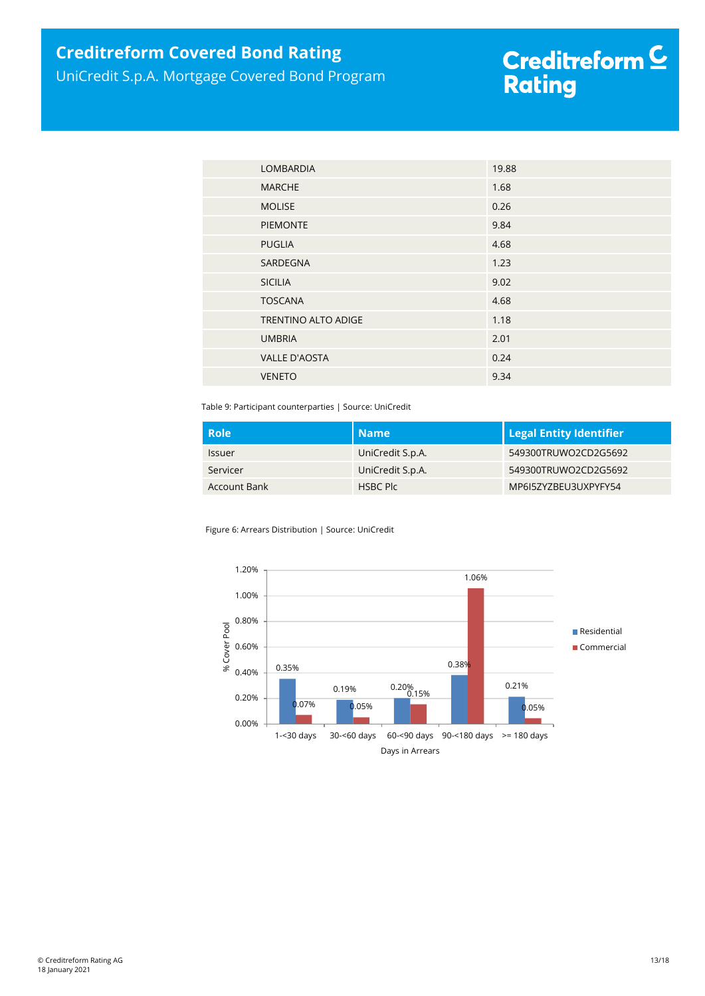## **Creditreform Covered Bond Rating**

UniCredit S.p.A. Mortgage Covered Bond Program

# Creditreform <mark>C</mark><br>Rating

| <b>LOMBARDIA</b>     | 19.88 |
|----------------------|-------|
| <b>MARCHE</b>        | 1.68  |
| <b>MOLISE</b>        | 0.26  |
| <b>PIEMONTE</b>      | 9.84  |
| <b>PUGLIA</b>        | 4.68  |
| SARDEGNA             | 1.23  |
| <b>SICILIA</b>       | 9.02  |
| <b>TOSCANA</b>       | 4.68  |
| TRENTINO ALTO ADIGE  | 1.18  |
| <b>UMBRIA</b>        | 2.01  |
| <b>VALLE D'AOSTA</b> | 0.24  |
| <b>VENETO</b>        | 9.34  |

Table 9: Participant counterparties | Source: UniCredit

| . Role'       | Name             | <b>Legal Entity Identifier</b> |
|---------------|------------------|--------------------------------|
| <b>Issuer</b> | UniCredit S.p.A. | 549300TRUWO2CD2G5692           |
| Servicer      | UniCredit S.p.A. | 549300TRUWO2CD2G5692           |
| Account Bank  | HSBC Plc         | MP6I5ZYZBEU3UXPYFY54           |

Figure 6: Arrears Distribution | Source: UniCredit

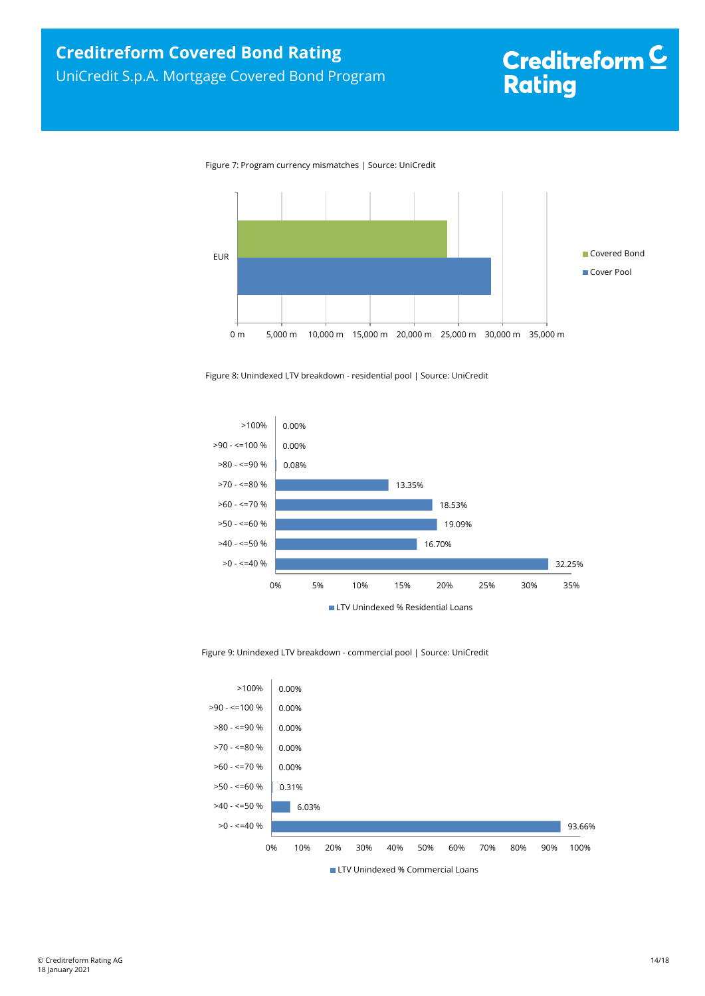# Creditreform<sup>C</sup> **Rating**

Figure 7: Program currency mismatches | Source: UniCredit



Figure 8: Unindexed LTV breakdown - residential pool | Source: UniCredit



#### Figure 9: Unindexed LTV breakdown - commercial pool | Source: UniCredit

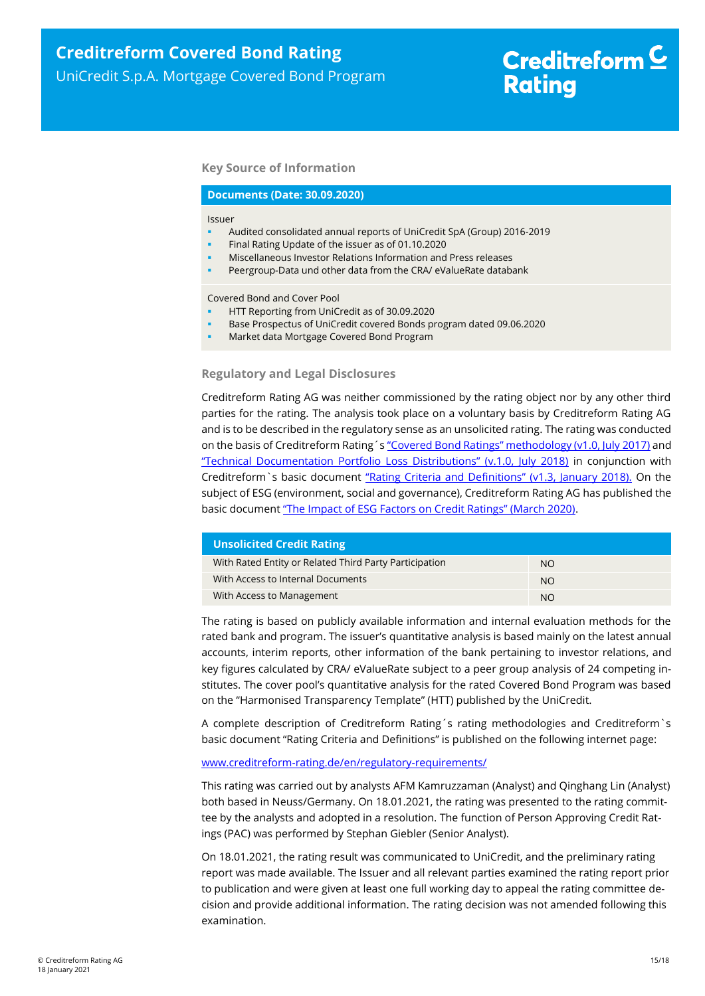## **Key Source of Information**

#### **Documents (Date: 30.09.2020)**

#### Issuer

- Audited consolidated annual reports of UniCredit SpA (Group) 2016-2019
- Final Rating Update of the issuer as of 01.10.2020
- Miscellaneous Investor Relations Information and Press releases
- Peergroup-Data und other data from the CRA/ eValueRate databank

Covered Bond and Cover Pool

- HTT Reporting from UniCredit as of 30.09.2020
- Base Prospectus of UniCredit covered Bonds program dated 09.06.2020
- Market data Mortgage Covered Bond Program

#### **Regulatory and Legal Disclosures**

Creditreform Rating AG was neither commissioned by the rating object nor by any other third parties for the rating. The analysis took place on a voluntary basis by Creditreform Rating AG and is to be described in the regulatory sense as an unsolicited rating. The rating was conducted on the basis of Creditreform Rating's ["Covered Bond Ratings" methodology \(v1.0, July 2017\)](https://creditreform-rating.de/en/about-us/regulatory-requirements.html?file=files/content/downloads/Externes%20Rating/Regulatorische%20Anforderungen/EN/Ratingmethodiken%20EN/Rating%20Methodology%20Covered%20Bonds.pdf) and ["Technical Documentation Portfolio Loss Distributions" \(v.1.0, July 2018\)](https://creditreform-rating.de/en/about-us/regulatory-requirements.html?file=files/content/downloads/Externes%20Rating/Regulatorische%20Anforderungen/EN/Ratingmethodiken%20EN/Technical%20Documentation%20Portfolio%20Loss%20Distributions.pdf) in conjunction with Creditreform`s basic document ["Rating Criteria and Definitions" \(v1.3, January 2018\).](https://creditreform-rating.de/en/about-us/regulatory-requirements.html?file=files/content/downloads/Externes%20Rating/Regulatorische%20Anforderungen/EN/Ratingmethodiken%20EN/CRAG%20Rating%20Criteria%20and%20Definitions.pdf) On the subject of ESG (environment, social and governance), Creditreform Rating AG has published the basic document ["The Impact of ESG Factors on Credit Ratings" \(March 2020\)](https://creditreform-rating.de/en/about-us/regulatory-requirements.html?file=files/content/downloads/Externes%20Rating/Regulatorische%20Anforderungen/EN/Ratingmethodiken%20EN/The%20Impact%20of%20ESG%20Factors%20on%20Credit%20Ratings.pdf).

| <b>Unsolicited Credit Rating</b>                       |               |  |  |
|--------------------------------------------------------|---------------|--|--|
| With Rated Entity or Related Third Party Participation | NO.           |  |  |
| With Access to Internal Documents                      | <b>NO</b>     |  |  |
| With Access to Management                              | <sub>NO</sub> |  |  |

The rating is based on publicly available information and internal evaluation methods for the rated bank and program. The issuer's quantitative analysis is based mainly on the latest annual accounts, interim reports, other information of the bank pertaining to investor relations, and key figures calculated by CRA/ eValueRate subject to a peer group analysis of 24 competing institutes. The cover pool's quantitative analysis for the rated Covered Bond Program was based on the "Harmonised Transparency Template" (HTT) published by the UniCredit.

A complete description of Creditreform Rating´s rating methodologies and Creditreform`s basic document "Rating Criteria and Definitions" is published on the following internet page:

#### [www.creditreform-rating.de/](http://www.creditreform-rating.de/)en/regulatory-requirements/

This rating was carried out by analysts AFM Kamruzzaman (Analyst) and Qinghang Lin (Analyst) both based in Neuss/Germany. On 18.01.2021, the rating was presented to the rating committee by the analysts and adopted in a resolution. The function of Person Approving Credit Ratings (PAC) was performed by Stephan Giebler (Senior Analyst).

On 18.01.2021, the rating result was communicated to UniCredit, and the preliminary rating report was made available. The Issuer and all relevant parties examined the rating report prior to publication and were given at least one full working day to appeal the rating committee decision and provide additional information. The rating decision was not amended following this examination.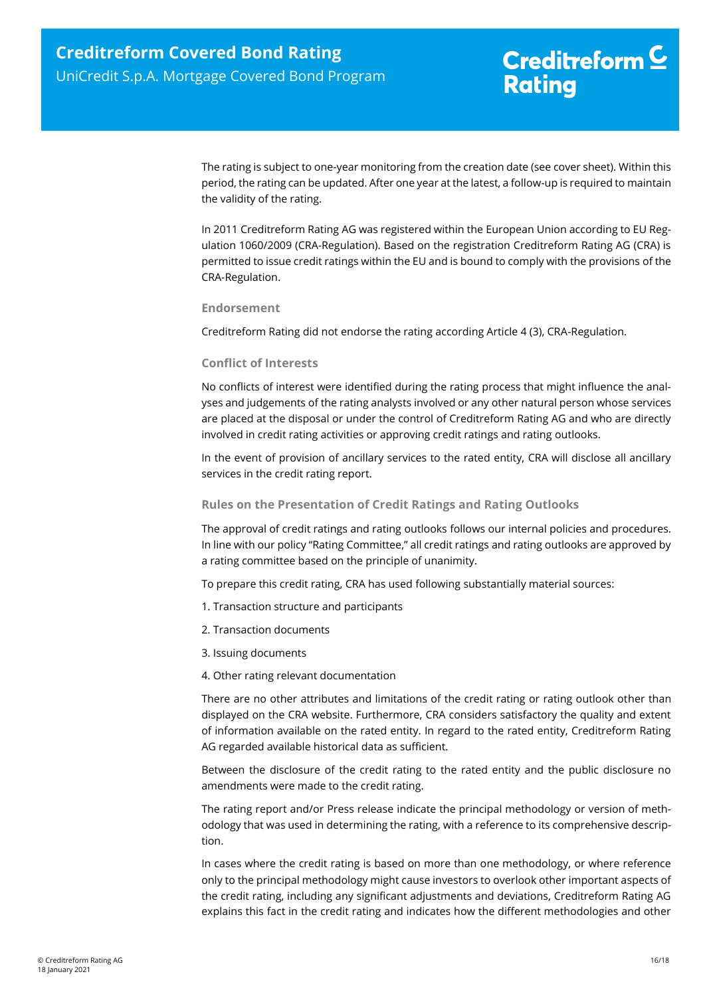The rating is subject to one-year monitoring from the creation date (see cover sheet). Within this period, the rating can be updated. After one year at the latest, a follow-up is required to maintain the validity of the rating.

In 2011 Creditreform Rating AG was registered within the European Union according to EU Regulation 1060/2009 (CRA-Regulation). Based on the registration Creditreform Rating AG (CRA) is permitted to issue credit ratings within the EU and is bound to comply with the provisions of the CRA-Regulation.

## **Endorsement**

Creditreform Rating did not endorse the rating according Article 4 (3), CRA-Regulation.

## **Conflict of Interests**

No conflicts of interest were identified during the rating process that might influence the analyses and judgements of the rating analysts involved or any other natural person whose services are placed at the disposal or under the control of Creditreform Rating AG and who are directly involved in credit rating activities or approving credit ratings and rating outlooks.

In the event of provision of ancillary services to the rated entity, CRA will disclose all ancillary services in the credit rating report.

## **Rules on the Presentation of Credit Ratings and Rating Outlooks**

The approval of credit ratings and rating outlooks follows our internal policies and procedures. In line with our policy "Rating Committee," all credit ratings and rating outlooks are approved by a rating committee based on the principle of unanimity.

To prepare this credit rating, CRA has used following substantially material sources:

- 1. Transaction structure and participants
- 2. Transaction documents
- 3. Issuing documents
- 4. Other rating relevant documentation

There are no other attributes and limitations of the credit rating or rating outlook other than displayed on the CRA website. Furthermore, CRA considers satisfactory the quality and extent of information available on the rated entity. In regard to the rated entity, Creditreform Rating AG regarded available historical data as sufficient.

Between the disclosure of the credit rating to the rated entity and the public disclosure no amendments were made to the credit rating.

The rating report and/or Press release indicate the principal methodology or version of methodology that was used in determining the rating, with a reference to its comprehensive description.

In cases where the credit rating is based on more than one methodology, or where reference only to the principal methodology might cause investors to overlook other important aspects of the credit rating, including any significant adjustments and deviations, Creditreform Rating AG explains this fact in the credit rating and indicates how the different methodologies and other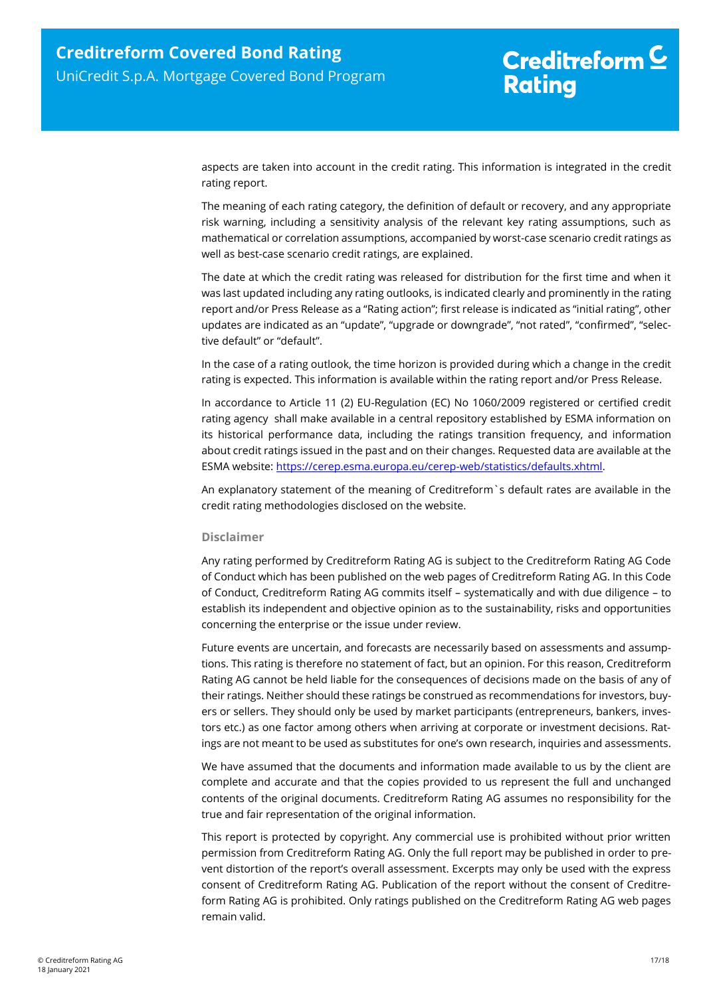aspects are taken into account in the credit rating. This information is integrated in the credit rating report.

The meaning of each rating category, the definition of default or recovery, and any appropriate risk warning, including a sensitivity analysis of the relevant key rating assumptions, such as mathematical or correlation assumptions, accompanied by worst-case scenario credit ratings as well as best-case scenario credit ratings, are explained.

The date at which the credit rating was released for distribution for the first time and when it was last updated including any rating outlooks, is indicated clearly and prominently in the rating report and/or Press Release as a "Rating action"; first release is indicated as "initial rating", other updates are indicated as an "update", "upgrade or downgrade", "not rated", "confirmed", "selective default" or "default".

In the case of a rating outlook, the time horizon is provided during which a change in the credit rating is expected. This information is available within the rating report and/or Press Release.

In accordance to Article 11 (2) EU-Regulation (EC) No 1060/2009 registered or certified credit rating agency shall make available in a central repository established by ESMA information on its historical performance data, including the ratings transition frequency, and information about credit ratings issued in the past and on their changes. Requested data are available at the ESMA website: [https://cerep.esma.europa.eu/cerep-web/statistics/defaults.xhtml.](https://cerep.esma.europa.eu/cerep-web/statistics/defaults.xhtml)

An explanatory statement of the meaning of Creditreform`s default rates are available in the credit rating methodologies disclosed on the website.

#### **Disclaimer**

Any rating performed by Creditreform Rating AG is subject to the Creditreform Rating AG Code of Conduct which has been published on the web pages of Creditreform Rating AG. In this Code of Conduct, Creditreform Rating AG commits itself – systematically and with due diligence – to establish its independent and objective opinion as to the sustainability, risks and opportunities concerning the enterprise or the issue under review.

Future events are uncertain, and forecasts are necessarily based on assessments and assumptions. This rating is therefore no statement of fact, but an opinion. For this reason, Creditreform Rating AG cannot be held liable for the consequences of decisions made on the basis of any of their ratings. Neither should these ratings be construed as recommendations for investors, buyers or sellers. They should only be used by market participants (entrepreneurs, bankers, investors etc.) as one factor among others when arriving at corporate or investment decisions. Ratings are not meant to be used as substitutes for one's own research, inquiries and assessments.

We have assumed that the documents and information made available to us by the client are complete and accurate and that the copies provided to us represent the full and unchanged contents of the original documents. Creditreform Rating AG assumes no responsibility for the true and fair representation of the original information.

This report is protected by copyright. Any commercial use is prohibited without prior written permission from Creditreform Rating AG. Only the full report may be published in order to prevent distortion of the report's overall assessment. Excerpts may only be used with the express consent of Creditreform Rating AG. Publication of the report without the consent of Creditreform Rating AG is prohibited. Only ratings published on the Creditreform Rating AG web pages remain valid.